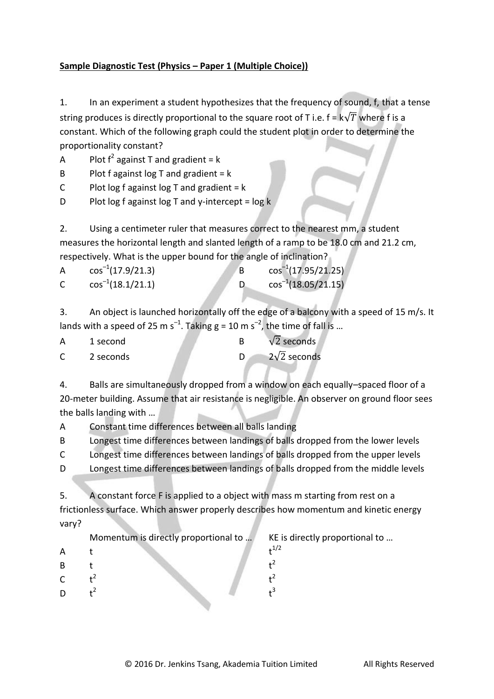## **Sample Diagnostic Test (Physics – Paper 1 (Multiple Choice))**

1. In an experiment a student hypothesizes that the frequency of sound, f, that a tense string produces is directly proportional to the square root of T i.e.  $f = k\sqrt{T}$  where f is a constant. Which of the following graph could the student plot in order to determine the proportionality constant?

- A Plot  $f^2$  against T and gradient = k
- B Plot f against  $log T$  and gradient = k
- C Plot log f against log T and gradient  $=k$
- D Plot log f against log T and y-intercept =  $log k$

2. Using a centimeter ruler that measures correct to the nearest mm, a student measures the horizontal length and slanted length of a ramp to be 18.0 cm and 21.2 cm, respectively. What is the upper bound for the angle of inclination?

| $\cos^{-1}(17.9/21.3)$ | $\cos^{-1}(17.95/21.25)$ |
|------------------------|--------------------------|
| $\cos^{-1}(18.1/21.1)$ | $\cos^{-1}(18.05/21.15)$ |

3. An object is launched horizontally off the edge of a balcony with a speed of 15 m/s. It lands with a speed of 25 m s<sup>-1</sup>. Taking g = 10 m s<sup>-2</sup>, the time of fall is ...

| 1 second  | $\sqrt{2}$ seconds   |
|-----------|----------------------|
| 2 seconds | 2 $\sqrt{2}$ seconds |

4. Balls are simultaneously dropped from a window on each equally–spaced floor of a 20-meter building. Assume that air resistance is negligible. An observer on ground floor sees the balls landing with …

A Constant time differences between all balls landing

B Longest time differences between landings of balls dropped from the lower levels

C Longest time differences between landings of balls dropped from the upper levels

D Longest time differences between landings of balls dropped from the middle levels

5. A constant force F is applied to a object with mass m starting from rest on a frictionless surface. Which answer properly describes how momentum and kinetic energy vary?

Momentum is directly proportional to ... KE is directly proportional to ...

- A t t
- B t t
- $\mathsf{C}$  $t^2$
- $\overline{D}$  $t^2$

 $t^2$ 

 $t^{1/2}$ 

 $t^2$  $t^3$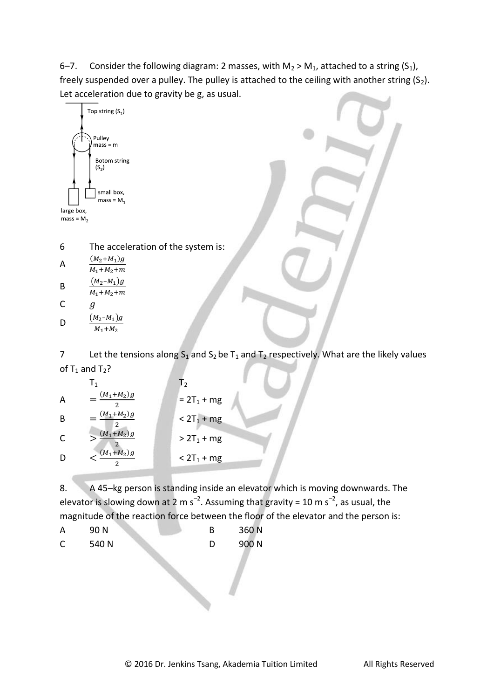6–7. Consider the following diagram: 2 masses, with  $M_2 > M_1$ , attached to a string  $(S_1)$ , freely suspended over a pulley. The pulley is attached to the ceiling with another string  $(S_2)$ . Let acceleration due to gravity be g, as usual.



6 The acceleration of the system is:

| А | $(M_2+M_1)g$    |
|---|-----------------|
|   | $M_1 + M_2 + m$ |
| B | $(M_2 - M_1)g$  |
|   | $M_1 + M_2 + m$ |

$$
\begin{array}{cc}\n & M_1 + M_2 \\
C & g\n\end{array}
$$

D  $(M_2 - M_1)g$ M

7 Let the tensions along  $S_1$  and  $S_2$  be  $T_1$  and  $T_2$  respectively. What are the likely values of  $T_1$  and  $T_2$ ?

|   | $\mathsf{I}$   | T <sub>2</sub> |
|---|----------------|----------------|
| A | $(M_1 + M_2)g$ | $= 2T_1 + mg$  |
| B | $(M_1 + M_2)g$ | $< 2T_1 + mg$  |
| C | $(M_1 + M_2)g$ | $> 2T_1 + mg$  |
|   | $(M_1+M_2)g$   | $< 2T_1 + mg$  |

8. A 45-kg person is standing inside an elevator which is moving downwards. The elevator is slowing down at 2 m s<sup>-2</sup>. Assuming that gravity = 10 m s<sup>-2</sup>, as usual, the magnitude of the reaction force between the floor of the elevator and the person is:

A 90 N B 360 N C 540 N D 900 N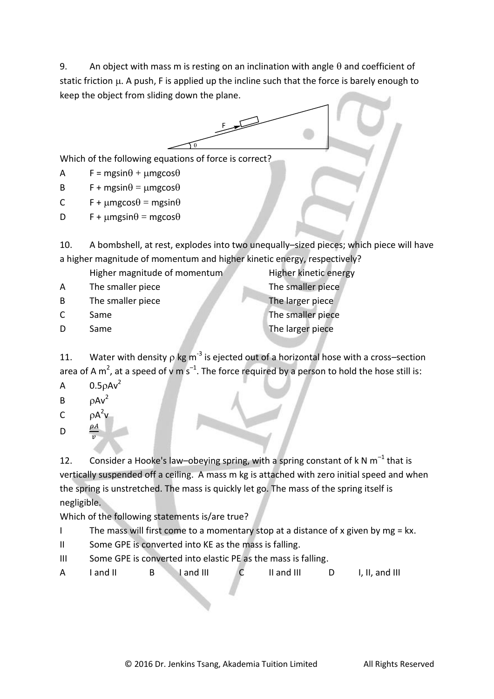9. An object with mass m is resting on an inclination with angle  $\theta$  and coefficient of static friction  $\mu$ . A push, F is applied up the incline such that the force is barely enough to keep the object from sliding down the plane.



Which of the following equations of force is correct?

A F = mgsin $\theta$  +  $\mu$ mgcos $\theta$ 

B F + mgsin $\theta$  = umgcos $\theta$ 

C F +  $\mu$ mgcos $\theta$  = mgsin $\theta$ 

D F + umgsin $\theta$  = mgcos $\theta$ 

10. A bombshell, at rest, explodes into two unequally–sized pieces; which piece will have a higher magnitude of momentum and higher kinetic energy, respectively?

- Higher magnitude of momentum<br>
Higher kinetic energy
- A The smaller piece The smaller piece
- B The smaller piece The larger piece

C Same The smaller piece D Same The larger piece

11. Water with density  $\rho$  kg m<sup>-3</sup> is ejected out of a horizontal hose with a cross-section area of A m<sup>2</sup>, at a speed of v m s<sup>-1</sup>. The force required by a person to hold the hose still is:

- A  $0.5\rho A v^2$
- $B$   $\rho Av^2$
- C  $\rho A^2 v$ ρA

 $\boldsymbol{\mathcal{V}}$ 

D

12. Consider a Hooke's law–obeying spring, with a spring constant of k N  $m^{-1}$  that is vertically suspended off a ceiling. A mass m kg is attached with zero initial speed and when the spring is unstretched. The mass is quickly let go. The mass of the spring itself is negligible.

Which of the following statements is/are true?

I The mass will first come to a momentary stop at a distance of x given by mg = kx.

- II Some GPE is converted into KE as the mass is falling.
- III Some GPE is converted into elastic PE as the mass is falling.
- A I and II B I and III C II and III D I, II, and III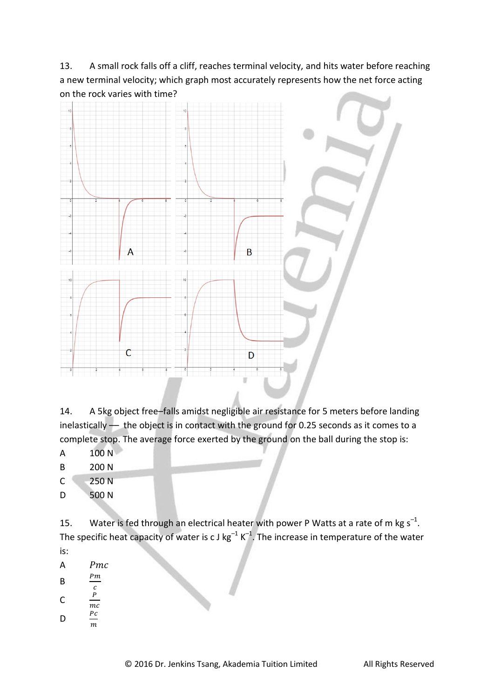13. A small rock falls off a cliff, reaches terminal velocity, and hits water before reaching a new terminal velocity; which graph most accurately represents how the net force acting on the rock varies with time?



14. A 5kg object free–falls amidst negligible air resistance for 5 meters before landing inelastically –– the object is in contact with the ground for 0.25 seconds as it comes to a complete stop. The average force exerted by the ground on the ball during the stop is:

- A 100 N
- B 200 N
- C 250 N
- D 500 N

15. Water is fed through an electrical heater with power P Watts at a rate of m kg  $s^{-1}$ . The specific heat capacity of water is c J kg<sup>-1</sup> K<sup>-1</sup>. The increase in temperature of the water is:

- A *Pmc*
- B  $Pm$  $\overline{c}$
- C  $\boldsymbol{P}$
- $\overline{mc}$  $\boldsymbol{P}$
- D m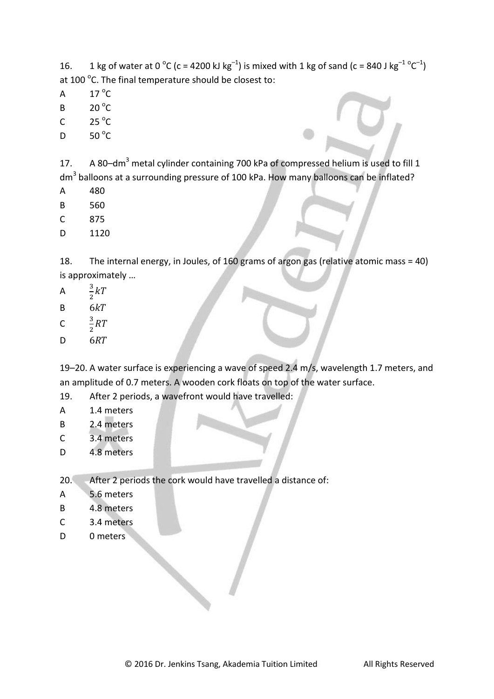16. 1 kg of water at 0  $^{\circ}$ C (c = 4200 kJ kg<sup>-1</sup>) is mixed with 1 kg of sand (c = 840 J kg<sup>-1 o</sup>C<sup>-1</sup>) at 100 $\,^{\circ}$ C. The final temperature should be closest to:

- A  $17^{\circ}$ C
- B  $20^{\circ}$ C
- C  $25^{\circ}$ C
- D  $50^{\circ}$ C

17. A 80-dm<sup>3</sup> metal cylinder containing 700 kPa of compressed helium is used to fill 1 dm<sup>3</sup> balloons at a surrounding pressure of 100 kPa. How many balloons can be inflated?

- A 480
- B 560
- C 875
- D 1120

18. The internal energy, in Joules, of 160 grams of argon gas (relative atomic mass = 40) is approximately …

- A 3  $\frac{3}{2}k$
- $B$   $6kT$
- $\mathsf{C}$ 3  $rac{3}{2}R$
- D<sub>6RT</sub>

19–20. A water surface is experiencing a wave of speed 2.4 m/s, wavelength 1.7 meters, and an amplitude of 0.7 meters. A wooden cork floats on top of the water surface.

- 19. After 2 periods, a wavefront would have travelled:
- A 1.4 meters
- B 2.4 meters
- C 3.4 meters
- D 4.8 meters
- 20. After 2 periods the cork would have travelled a distance of:
- A 5.6 meters
- B 4.8 meters
- C 3.4 meters
- D 0 meters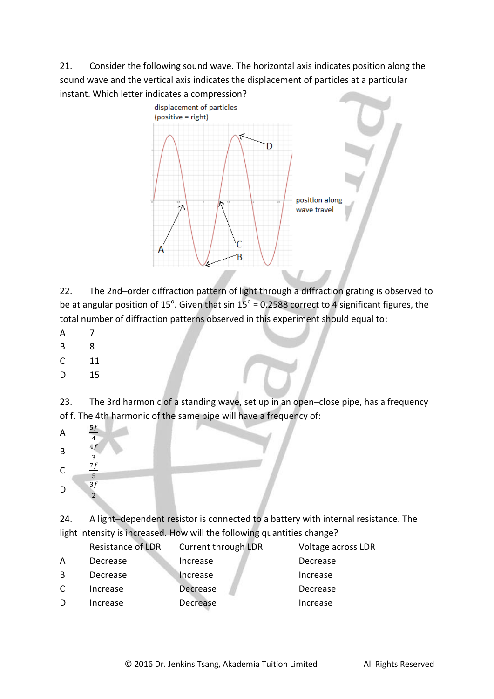21. Consider the following sound wave. The horizontal axis indicates position along the sound wave and the vertical axis indicates the displacement of particles at a particular instant. Which letter indicates a compression?



22. The 2nd–order diffraction pattern of light through a diffraction grating is observed to be at angular position of 15<sup>°</sup>. Given that sin  $15^\circ$  = 0.2588 correct to 4 significant figures, the total number of diffraction patterns observed in this experiment should equal to:

- A 7
- B 8
- C 11
- D 15

23. The 3rd harmonic of a standing wave, set up in an open–close pipe, has a frequency of f. The 4th harmonic of the same pipe will have a frequency of:



24. A light–dependent resistor is connected to a battery with internal resistance. The light intensity is increased. How will the following quantities change?

|    | Resistance of LDR | Current through LDR | Voltage across LDR |
|----|-------------------|---------------------|--------------------|
| A  | Decrease          | Increase            | Decrease           |
| B. | Decrease          | <b>Increase</b>     | Increase           |
| C  | Increase          | Decrease            | Decrease           |
| D  | Increase          | Decrease            | Increase           |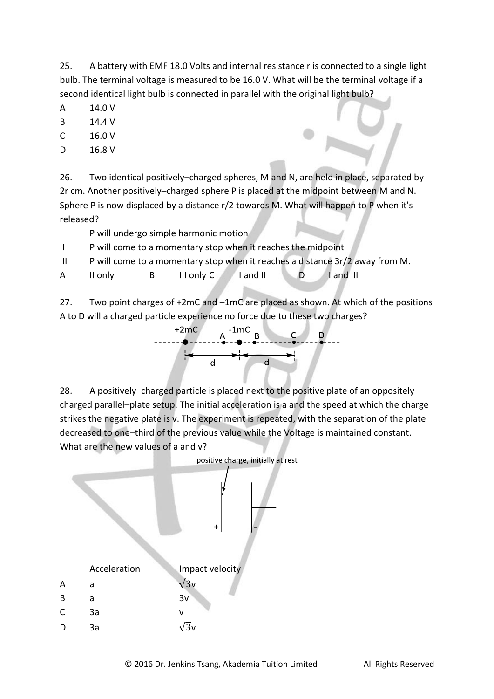25. A battery with EMF 18.0 Volts and internal resistance r is connected to a single light bulb. The terminal voltage is measured to be 16.0 V. What will be the terminal voltage if a second identical light bulb is connected in parallel with the original light bulb?

- A 14.0 V
- B 14.4 V
- C 16.0 V
- D 16.8 V

26. Two identical positively–charged spheres, M and N, are held in place, separated by 2r cm. Another positively–charged sphere P is placed at the midpoint between M and N. Sphere P is now displaced by a distance r/2 towards M. What will happen to P when it's released?

- I P will undergo simple harmonic motion
- II P will come to a momentary stop when it reaches the midpoint
- III P will come to a momentary stop when it reaches a distance 3r/2 away from M.
- A II only B III only C I and II D I and III

27. Two point charges of +2mC and –1mC are placed as shown. At which of the positions A to D will a charged particle experience no force due to these two charges?



28. A positively–charged particle is placed next to the positive plate of an oppositely– charged parallel–plate setup. The initial acceleration is a and the speed at which the charge strikes the negative plate is v. The experiment is repeated, with the separation of the plate decreased to one–third of the previous value while the Voltage is maintained constant. What are the new values of a and v?

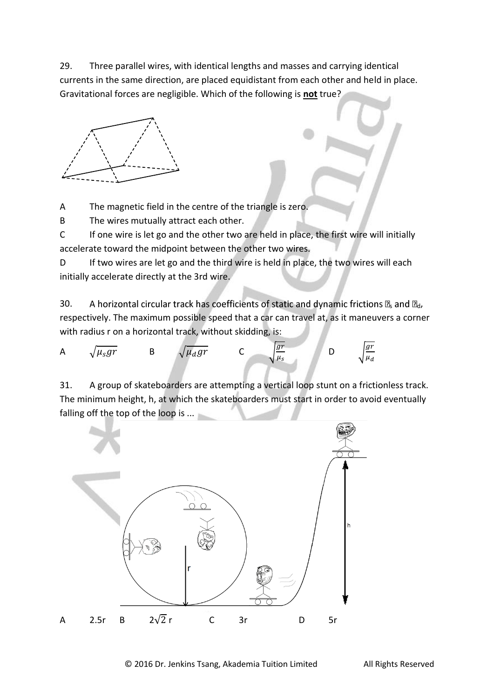29. Three parallel wires, with identical lengths and masses and carrying identical currents in the same direction, are placed equidistant from each other and held in place. Gravitational forces are negligible. Which of the following is **not** true?



A The magnetic field in the centre of the triangle is zero.

B The wires mutually attract each other.

C If one wire is let go and the other two are held in place, the first wire will initially accelerate toward the midpoint between the other two wires.

D If two wires are let go and the third wire is held in place, the two wires will each initially accelerate directly at the 3rd wire.

30. A horizontal circular track has coefficients of static and dynamic frictions  $\mathbb{Z}_s$  and  $\mathbb{Z}_d$ , respectively. The maximum possible speed that a car can travel at, as it maneuvers a corner with radius r on a horizontal track, without skidding, is:

A 
$$
\sqrt{\mu_s gr}
$$
 B  $\sqrt{\mu_d gr}$  C  $\sqrt{\frac{gr}{\mu_s}}$  D  $\sqrt{\frac{gr}{\mu_d}}$ 

31. A group of skateboarders are attempting a vertical loop stunt on a frictionless track. The minimum height, h, at which the skateboarders must start in order to avoid eventually falling off the top of the loop is ...

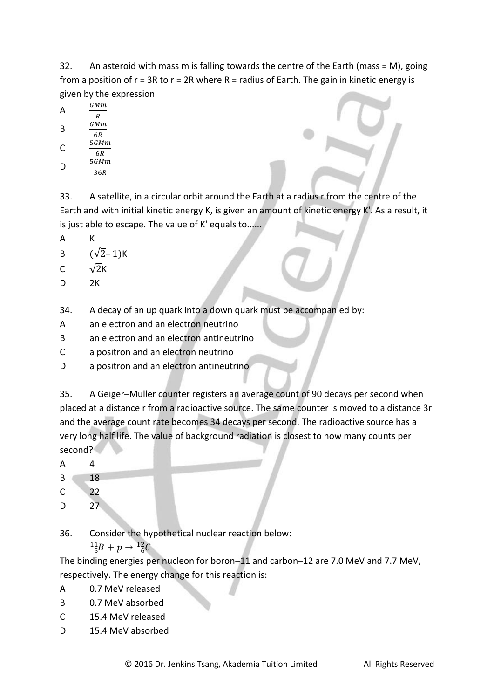32. An asteroid with mass m is falling towards the centre of the Earth (mass = M), going from a position of  $r = 3R$  to  $r = 2R$  where  $R =$  radius of Earth. The gain in kinetic energy is given by the expression

A 
$$
\frac{GMm}{R}
$$
  

$$
GMm
$$

B  $6R$ 

$$
C \t\t\t \frac{5GMn}{6R}
$$

D  $\overline{36R}$ 

33. A satellite, in a circular orbit around the Earth at a radius r from the centre of the Earth and with initial kinetic energy K, is given an amount of kinetic energy K'. As a result, it is just able to escape. The value of K' equals to......

A K

B  $(\sqrt{2}-1)K$ 

$$
C \qquad \sqrt{2}K
$$

D 2K

34. A decay of an up quark into a down quark must be accompanied by:

- A an electron and an electron neutrino
- B an electron and an electron antineutrino
- C a positron and an electron neutrino
- D a positron and an electron antineutrino

35. A Geiger–Muller counter registers an average count of 90 decays per second when placed at a distance r from a radioactive source. The same counter is moved to a distance 3r and the average count rate becomes 34 decays per second. The radioactive source has a very long half life. The value of background radiation is closest to how many counts per second?

A 4

B 18

- C 22
- D 27

36. Consider the hypothetical nuclear reaction below:

 $^{11}_{5}B + p \rightarrow ^{1}$ 

The binding energies per nucleon for boron–11 and carbon–12 are 7.0 MeV and 7.7 MeV, respectively. The energy change for this reaction is:

- A 0.7 MeV released
- B 0.7 MeV absorbed
- C 15.4 MeV released
- D 15.4 MeV absorbed